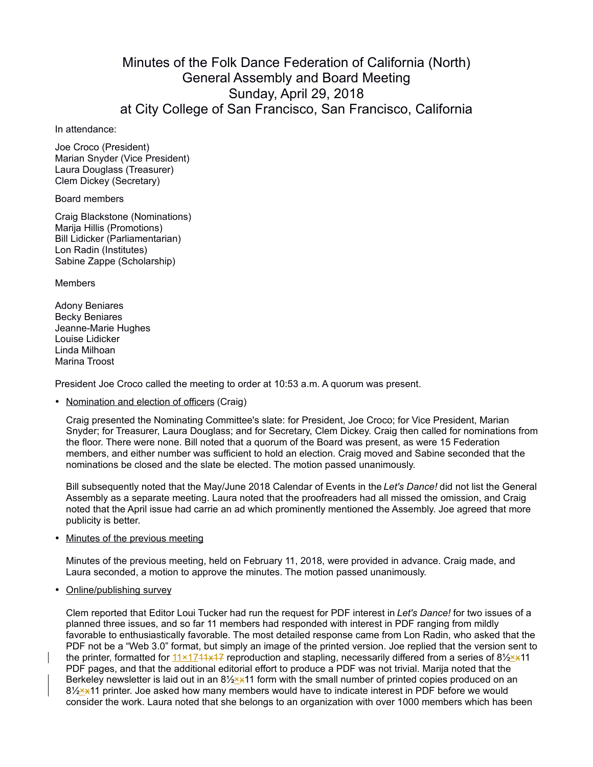## Minutes of the Folk Dance Federation of California (North) General Assembly and Board Meeting Sunday, April 29, 2018 at City College of San Francisco, San Francisco, California

## In attendance:

Joe Croco (President) Marian Snyder (Vice President) Laura Douglass (Treasurer) Clem Dickey (Secretary)

## Board members

Craig Blackstone (Nominations) Marija Hillis (Promotions) Bill Lidicker (Parliamentarian) Lon Radin (Institutes) Sabine Zappe (Scholarship)

Members

Adony Beniares Becky Beniares Jeanne-Marie Hughes Louise Lidicker Linda Milhoan Marina Troost

President Joe Croco called the meeting to order at 10:53 a.m. A quorum was present.

• Nomination and election of officers (Craig)

Craig presented the Nominating Committee's slate: for President, Joe Croco; for Vice President, Marian Snyder; for Treasurer, Laura Douglass; and for Secretary, Clem Dickey. Craig then called for nominations from the floor. There were none. Bill noted that a quorum of the Board was present, as were 15 Federation members, and either number was sufficient to hold an election. Craig moved and Sabine seconded that the nominations be closed and the slate be elected. The motion passed unanimously.

Bill subsequently noted that the May/June 2018 Calendar of Events in the *Let's Dance!* did not list the General Assembly as a separate meeting. Laura noted that the proofreaders had all missed the omission, and Craig noted that the April issue had carrie an ad which prominently mentioned the Assembly. Joe agreed that more publicity is better.

• Minutes of the previous meeting

Minutes of the previous meeting, held on February 11, 2018, were provided in advance. Craig made, and Laura seconded, a motion to approve the minutes. The motion passed unanimously.

Online/publishing survey

Clem reported that Editor Loui Tucker had run the request for PDF interest in *Let's Dance!* for two issues of a planned three issues, and so far 11 members had responded with interest in PDF ranging from mildly favorable to enthusiastically favorable. The most detailed response came from Lon Radin, who asked that the PDF not be a "Web 3.0" format, but simply an image of the printed version. Joe replied that the version sent to the printer, formatted for  $11 \times 1711 \times 17$  reproduction and stapling, necessarily differed from a series of 8½× $\times$ 11 PDF pages, and that the additional editorial effort to produce a PDF was not trivial. Marija noted that the Berkeley newsletter is laid out in an  $8\frac{1}{2} \times 11$  form with the small number of printed copies produced on an 8½××11 printer. Joe asked how many members would have to indicate interest in PDF before we would consider the work. Laura noted that she belongs to an organization with over 1000 members which has been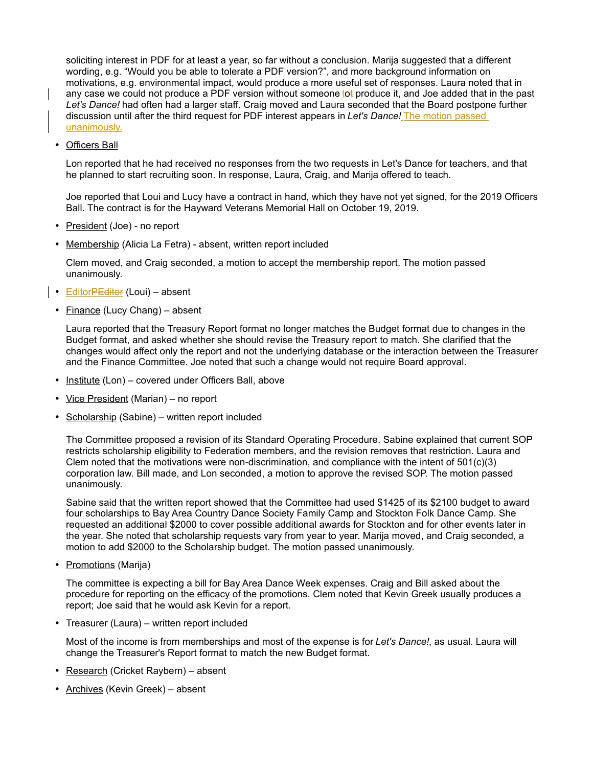soliciting interest in PDF for at least a year, so far without a conclusion. Marija suggested that a different wording, e.g. "Would you be able to tolerate a PDF version?", and more background information on motivations, e.g. environmental impact, would produce a more useful set of responses. Laura noted that in any case we could not produce a PDF version without someone tot produce it, and Joe added that in the past Let's Dance! had often had a larger staff. Craig moved and Laura seconded that the Board postpone further discussion until after the third request for PDF interest appears in *Let's Dance!* The motion passed unanimously.

Officers Ball

Lon reported that he had received no responses from the two requests in Let's Dance for teachers, and that he planned to start recruiting soon. In response, Laura, Craig, and Marija offered to teach.

Joe reported that Loui and Lucy have a contract in hand, which they have not yet signed, for the 2019 Officers Ball. The contract is for the Hayward Veterans Memorial Hall on October 19, 2019.

- President (Joe) no report
- Membership (Alicia La Fetra) absent, written report included

Clem moved, and Craig seconded, a motion to accept the membership report. The motion passed unanimously.

- **EditorPEditor (Loui)** absent
	- Finance (Lucy Chang) absent

Laura reported that the Treasury Report format no longer matches the Budget format due to changes in the Budget format, and asked whether she should revise the Treasury report to match. She clarified that the changes would affect only the report and not the underlying database or the interaction between the Treasurer and the Finance Committee. Joe noted that such a change would not require Board approval.

- Institute (Lon) covered under Officers Ball, above
- Vice President (Marian) no report
- Scholarship (Sabine) written report included

The Committee proposed a revision of its Standard Operating Procedure. Sabine explained that current SOP restricts scholarship eligibility to Federation members, and the revision removes that restriction. Laura and Clem noted that the motivations were non-discrimination, and compliance with the intent of 501(c)(3) corporation law. Bill made, and Lon seconded, a motion to approve the revised SOP. The motion passed unanimously.

Sabine said that the written report showed that the Committee had used \$1425 of its \$2100 budget to award four scholarships to Bay Area Country Dance Society Family Camp and Stockton Folk Dance Camp. She requested an additional \$2000 to cover possible additional awards for Stockton and for other events later in the year. She noted that scholarship requests vary from year to year. Marija moved, and Craig seconded, a motion to add \$2000 to the Scholarship budget. The motion passed unanimously.

• Promotions (Marija)

The committee is expecting a bill for Bay Area Dance Week expenses. Craig and Bill asked about the procedure for reporting on the efficacy of the promotions. Clem noted that Kevin Greek usually produces a report; Joe said that he would ask Kevin for a report.

• Treasurer (Laura) – written report included

Most of the income is from memberships and most of the expense is for *Let's Dance!*, as usual. Laura will change the Treasurer's Report format to match the new Budget format.

- Research (Cricket Raybern) absent
- Archives (Kevin Greek) absent